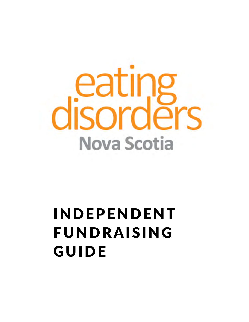# ea sordĕ ς C **Nova Scotia**

# INDEPENDENT FUNDRAISING GUIDE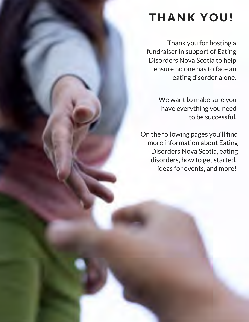# THANK YOU!

Thank you for hosting a fundraiser in support of Eating Disorders Nova Scotia to help ensure no one has to face an eating disorder alone.

> We want to make sure you have everything you need to be successful.

On the following pages you'll find more information about Eating Disorders Nova Scotia, eating disorders, how to get started, ideas for events, and more!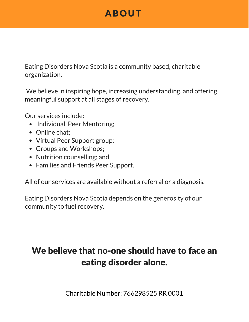# ABOUT

Eating Disorders Nova Scotia is a community based, charitable organization.

We believe in inspiring hope, increasing understanding, and offering meaningful support at all stages of recovery.

Our services include:

- Individual Peer Mentoring;
- Online chat:
- Virtual Peer Support group;
- Groups and Workshops;
- Nutrition counselling; and
- Families and Friends Peer Support.

All of our services are available without a referral or a diagnosis.

Eating Disorders Nova Scotia depends on the generosity of our community to fuel recovery.

# We believe that no-one should have to face an eating disorder alone.

Charitable Number: 766298525 RR 0001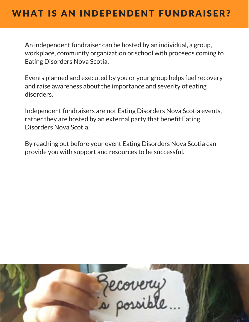An independent fundraiser can be hosted by an individual, a group, workplace, community organization or school with proceeds coming to Eating Disorders Nova Scotia.

Events planned and executed by you or your group helps fuel recovery and raise awareness about the importance and severity of eating disorders.

Independent fundraisers are not Eating Disorders Nova Scotia events, rather they are hosted by an external party that benefit Eating Disorders Nova Scotia.

By reaching out before your event Eating Disorders Nova Scotia can provide you with support and resources to be successful.

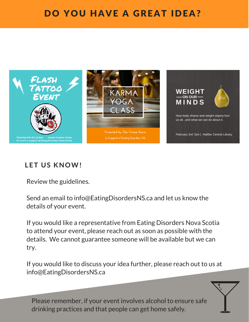# DO YOU HAVE A GREAT IDEA?



#### **LET US KNOW!**

Review the guidelines.

Send an email to info@EatingDisordersNS.ca and let us know the details of your event.

If you would like a representative from Eating Disorders Nova Scotia to attend your event, please reach out as soon as possible with the details. We cannot guarantee someone will be available but we can try.

If you would like to discuss your idea further, please reach out to us at info@EatingDisordersNS.ca

Please remember, if your event involves alcohol to ensure safe drinking practices and that people can get home safely.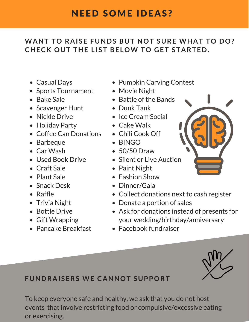# NEED SOME IDEAS?

#### **WANT TO RAISE FUNDS BUT NOT SURE WHAT TO DO? CHECK OUT THE L IST BELOW TO GET STARTED.**

- Casual Days
- Sports Tournament
- Bake Sale
- Scavenger Hunt
- Nickle Drive
- Holiday Party
- Coffee Can Donations
- Barbeque
- Car Wash
- Used Book Drive
- Craft Sale
- Plant Sale
- Snack Desk
- Raffle
- Trivia Night
- Bottle Drive
- Gift Wrapping
- Pancake Breakfast
- Pumpkin Carving Contest
- Movie Night
- Battle of the Bands
- Dunk Tank
- Ice Cream Social
- Cake Walk
- Chili Cook Off
- BINGO
- 50/50 Draw
- Silent or Live Auction
- Paint Night
- Fashion Show
- Dinner/Gala
- Collect donations next to cash register
- Donate a portion of sales
- Ask for donations instead of presents for your wedding/birthday/anniversary
- Facebook fundraiser



#### **FUNDRAISERS WE CANNOT SUPPORT**

To keep everyone safe and healthy, we ask that you do not host events that involve restricting food or compulsive/excessive eating or exercising.

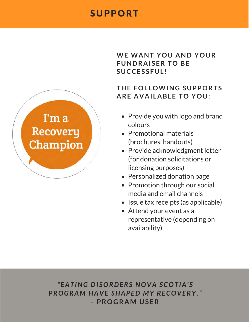### SUPPORT



#### **WE WANT YOU AND YOUR FUNDRAISER TO BE SUCCESSFUL !**

#### **THE FOL LOWING SUPPORTS ARE AVAI LABLE TO YOU:**

- Provide you with logo and brand colours
- Promotional materials (brochures, handouts)
- Provide acknowledgment letter (for donation solicitations or licensing purposes)
- Personalized donation page
- Promotion through our social media and email channels
- Issue tax receipts (as applicable)
- Attend your event as a representative (depending on availability)

*"EATING DI SORDERS NOVA SCOTIA' S PROGRAM HAVE SHAPED MY RECOVERY."* **- PROGRAM USER**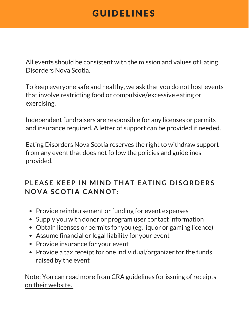## GUIDELINES

All events should be consistent with the mission and values of Eating Disorders Nova Scotia.

To keep everyone safe and healthy, we ask that you do not host events that involve restricting food or compulsive/excessive eating or exercising.

Independent fundraisers are responsible for any licenses or permits and insurance required. A letter of support can be provided if needed.

Eating Disorders Nova Scotia reserves the right to withdraw support from any event that does not follow the policies and guidelines provided.

#### **PLEASE KEEP IN MIND THAT EATING DISORDERS NOVA SCOTIA CANNOT:**

- Provide reimbursement or funding for event expenses
- Supply you with donor or program user contact information
- Obtain licenses or permits for you (eg. liquor or gaming licence)
- Assume financial or legal liability for your event
- Provide insurance for your event
- Provide a tax receipt for one individual/organizer for the funds raised by the event

Note: You can read more from CRA guidelines for issuing of receipts on their website.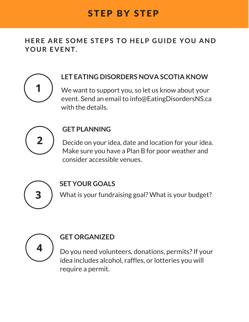**HERE ARE SOME STEPS TO HELP GUIDE YOU AND YOUR EVENT.**



#### **LET EATING DISORDERS NOVA SCOTIA KNOW**

We want to support you, so let us know about your event. Send an email to info@EatingDisordersNS.ca with the details.



#### **GET PLANNING**

Decide on your idea, date and location for your idea. Make sure you have a Plan B for poor weather and consider accessible venues.



#### **SET YOUR GOALS**

What is your fundraising goal? What is your budget?



#### **GET ORGANIZED**

Do you need volunteers, donations, permits? If your idea includes alcohol, raffles, or lotteries you will require a permit.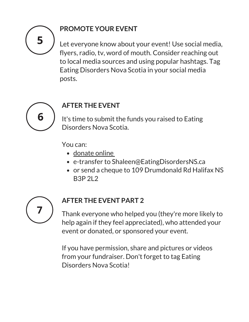

#### **PROMOTE YOUR EVENT**

Let everyone know about your event! Use social media, flyers, radio, tv, word of mouth. Consider reaching out to local media sources and using popular hashtags. Tag Eating Disorders Nova Scotia in your social media posts.



#### **AFTER THE EVENT**

It's time to submit the funds you raised to Eating Disorders Nova Scotia.

You can:

- donate online
- e-transfer to Shaleen@EatingDisordersNS.ca
- or send a cheque to 109 Drumdonald Rd Halifax NS B3P 2L2



#### **AFTER THE EVENT PART 2**

Thank everyone who helped you (they're more likely to help again if they feel appreciated), who attended your event or donated, or sponsored your event.

If you have permission, share and pictures or videos from your fundraiser. Don't forget to tag Eating Disorders Nova Scotia!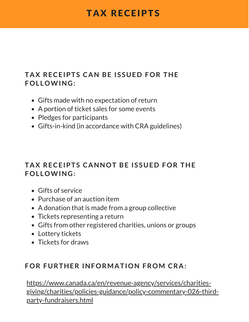## TAX RECEIPTS

#### **TAX RECEIPTS CAN BE ISSUED FOR THE FOL LOWING:**

- Gifts made with no expectation of return
- A portion of ticket sales for some events
- Pledges for participants
- Gifts-in-kind (in accordance with CRA guidelines)

#### **TAX RECEIPTS CANNOT BE ISSUED FOR THE FOL LOWING:**

- Gifts of service
- Purchase of an auction item
- A donation that is made from a group collective
- Tickets representing a return
- Gifts from other registered charities, unions or groups
- Lottery tickets
- Tickets for draws

#### **FOR FURTHER INFORMATION FROM CRA:**

https://www.canada.ca/en/revenue-agency/services/charitiesgiving/charities/policies-guidance/policy-commentary-026-thirdparty-fundraisers.html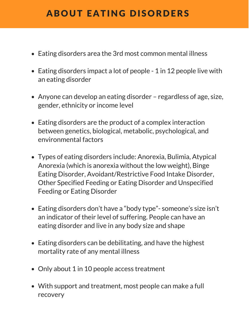# ABOUT EATING DISORDERS

- Eating disorders area the 3rd most common mental illness
- Eating disorders impact a lot of people 1 in 12 people live with an eating disorder
- Anyone can develop an eating disorder regardless of age, size, gender, ethnicity or income level
- Eating disorders are the product of a complex interaction between genetics, biological, metabolic, psychological, and environmental factors
- Types of eating disorders include: Anorexia, Bulimia, Atypical Anorexia (which is anorexia without the low weight), Binge Eating Disorder, Avoidant/Restrictive Food Intake Disorder, Other Specified Feeding or Eating Disorder and Unspecified Feeding or Eating Disorder
- Eating disorders don't have a "body type"-someone's size isn't an indicator of their level of suffering. People can have an eating disorder and live in any body size and shape
- Eating disorders can be debilitating, and have the highest mortality rate of any mental illness
- Only about 1 in 10 people access treatment
- With support and treatment, most people can make a full recovery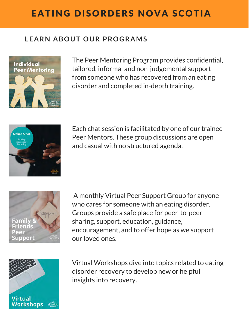# EATING DISORDERS NOVA SCOTIA

#### **LEARN ABOUT OUR PROGRAMS**



The Peer Mentoring Program provides confidential, tailored, informal and non-judgemental support from someone who has recovered from an eating disorder and completed in-depth training.



Each chat session is facilitated by one of our trained Peer Mentors. These group discussions are open and casual with no structured agenda.



A monthly Virtual Peer Support Group for anyone who cares for someone with an eating disorder. Groups provide a safe place for peer-to-peer sharing, support, education, guidance, encouragement, and to offer hope as we support our loved ones.



Virtual Workshops dive into topics related to eating disorder recovery to develop new or helpful insights into recovery.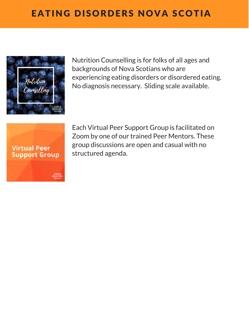

Nutrition Counselling is for folks of all ages and backgrounds of Nova Scotians who are experiencing eating disorders or disordered eating. No diagnosis necessary. Sliding scale available.



Each Virtual Peer Support Group is facilitated on Zoom by one of our trained Peer Mentors. These group discussions are open and casual with no structured agenda.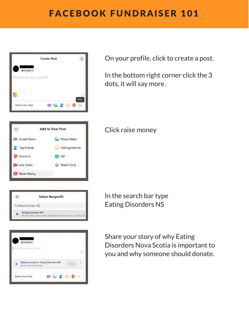# FACEBOOK FUNDRAISER 101



|             | <b>Add to Your Post</b> |
|-------------|-------------------------|
| Create Room | Photo/Video             |
| Tag Friends | Feeling/Activity<br>٣J  |
| Check In    | GIF<br>GIF              |
| Live Video  | Watch Party             |
| Raise Money |                         |

On your profile, click to create a post.

In the bottom right corner click the 3 dots, it will say more.

#### Click raise money

In the search bar type Eating Disorders NS

Share your story of why Eating Disorders Nova Scotia is important to you and why someone should donate.



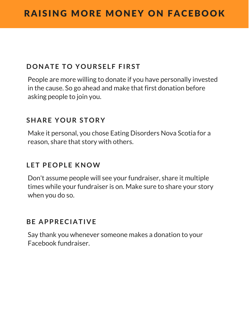#### **DONATE TO YOURSELF FIRST**

People are more willing to donate if you have personally invested in the cause. So go ahead and make that first donation before asking people to join you.

#### **SHARE YOUR STORY**

Make it personal, you chose Eating Disorders Nova Scotia for a reason, share that story with others.

#### **LET PEOPLE KNOW**

Don't assume people will see your fundraiser, share it multiple times while your fundraiser is on. Make sure to share your story when you do so.

#### **BE APPRECIATIVE**

Say thank you whenever someone makes a donation to your Facebook fundraiser.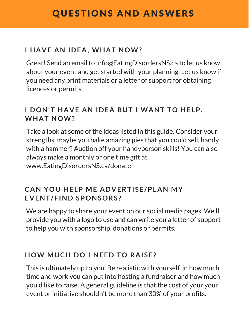#### **I HAVE AN IDEA, WHAT NOW?**

Great! Send an email to info@EatingDisordersNS.ca to let us know about your event and get started with your planning. Let us know if you need any print materials or a letter of support for obtaining licences or permits.

#### **I DON'T HAVE AN IDEA BUT I WANT TO HELP. WHAT NOW?**

Take a look at some of the ideas listed in this guide. Consider your strengths, maybe you bake amazing pies that you could sell, handy with a hammer? Auction off your handyperson skills! You can also always make a monthly or one time gift at www.EatingDisordersNS.ca/donate

#### **CAN YOU HELP ME ADVERTISE/PLAN MY EVENT/FIND SPONSORS?**

We are happy to share your event on our social media pages. We'll provide you with a logo to use and can write you a letter of support to help you with sponsorship, donations or permits.

#### **HOW MUCH DO I NEED TO RAISE?**

This is ultimately up to you. Be realistic with yourself in how much time and work you can put into hosting a fundraiser and how much you'd like to raise. A general guideline is that the cost of your your event or initiative shouldn't be more than 30% of your profits.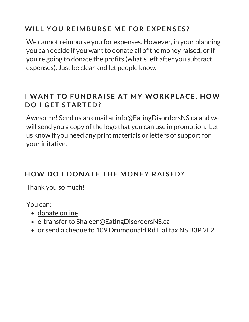#### **WI L L YOU REIMBURSE ME FOR EXPENSES?**

We cannot reimburse you for expenses. However, in your planning you can decide if you want to donate all of the money raised, or if you're going to donate the profits (what's left after you subtract expenses). Just be clear and let people know.

#### **I WANT TO FUNDRAISE AT MY WORKPLACE, HOW DO I GET STARTED?**

Awesome! Send us an email at info@EatingDisordersNS.ca and we will send you a copy of the logo that you can use in promotion. Let us know if you need any print materials or letters of support for your initative.

#### **HOW DO I DONATE THE MONEY RAISED?**

Thank you so much!

You can:

- donate online
- e-transfer to Shaleen@EatingDisordersNS.ca
- or send a cheque to 109 Drumdonald Rd Halifax NS B3P 2L2